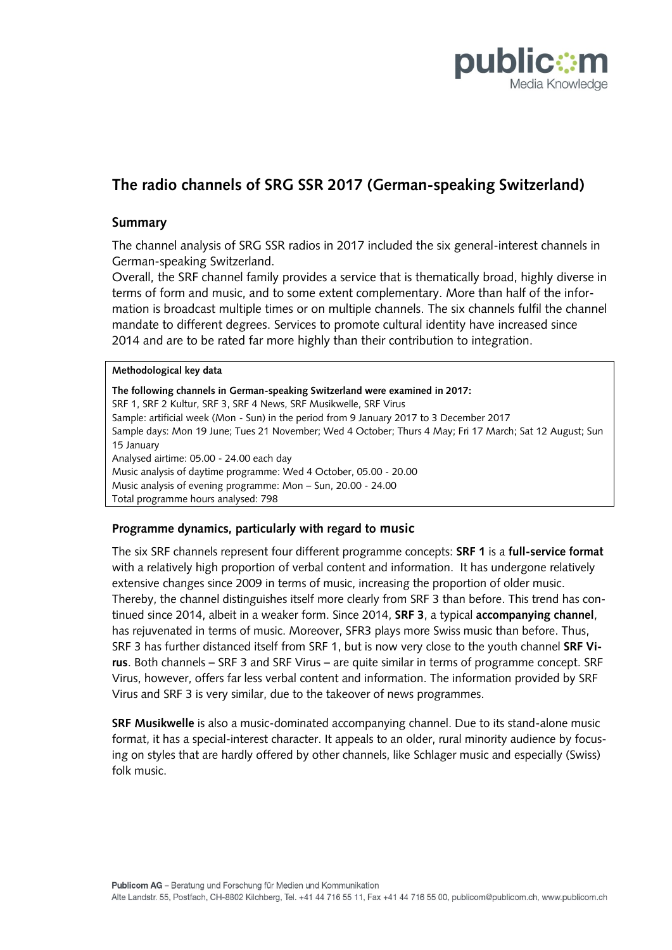

# **The radio channels of SRG SSR 2017 (German-speaking Switzerland)**

## **Summary**

The channel analysis of SRG SSR radios in 2017 included the six general-interest channels in German-speaking Switzerland.

Overall, the SRF channel family provides a service that is thematically broad, highly diverse in terms of form and music, and to some extent complementary. More than half of the information is broadcast multiple times or on multiple channels. The six channels fulfil the channel mandate to different degrees. Services to promote cultural identity have increased since 2014 and are to be rated far more highly than their contribution to integration.

#### **Methodological key data**

**The following channels in German-speaking Switzerland were examined in 2017:** SRF 1, SRF 2 Kultur, SRF 3, SRF 4 News, SRF Musikwelle, SRF Virus Sample: artificial week (Mon - Sun) in the period from 9 January 2017 to 3 December 2017 Sample days: Mon 19 June; Tues 21 November; Wed 4 October; Thurs 4 May; Fri 17 March; Sat 12 August; Sun 15 January Analysed airtime: 05.00 - 24.00 each day Music analysis of daytime programme: Wed 4 October, 05.00 - 20.00 Music analysis of evening programme: Mon – Sun, 20.00 - 24.00 Total programme hours analysed: 798

#### **Programme dynamics, particularly with regard to music**

The six SRF channels represent four different programme concepts: **SRF 1** is a **full-service format**  with a relatively high proportion of verbal content and information. It has undergone relatively extensive changes since 2009 in terms of music, increasing the proportion of older music. Thereby, the channel distinguishes itself more clearly from SRF 3 than before. This trend has continued since 2014, albeit in a weaker form. Since 2014, **SRF 3**, a typical **accompanying channel**, has rejuvenated in terms of music. Moreover, SFR3 plays more Swiss music than before. Thus, SRF 3 has further distanced itself from SRF 1, but is now very close to the youth channel **SRF Virus**. Both channels – SRF 3 and SRF Virus – are quite similar in terms of programme concept. SRF Virus, however, offers far less verbal content and information. The information provided by SRF Virus and SRF 3 is very similar, due to the takeover of news programmes.

**SRF Musikwelle** is also a music-dominated accompanying channel. Due to its stand-alone music format, it has a special-interest character. It appeals to an older, rural minority audience by focusing on styles that are hardly offered by other channels, like Schlager music and especially (Swiss) folk music.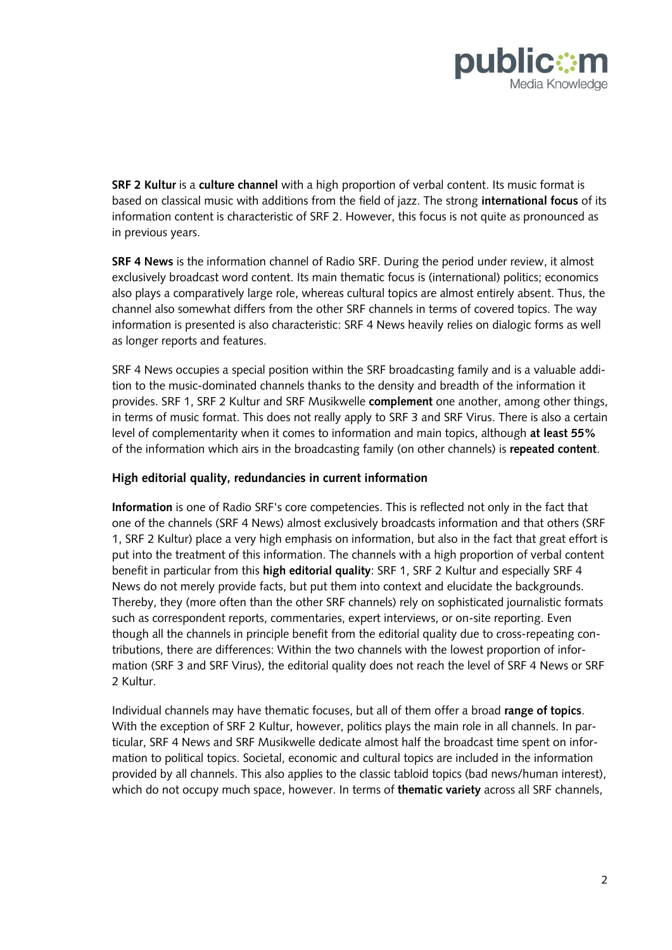

**SRF 2 Kultur** is a **culture channel** with a high proportion of verbal content. Its music format is based on classical music with additions from the field of jazz. The strong **international focus** of its information content is characteristic of SRF 2. However, this focus is not quite as pronounced as in previous years.

**SRF 4 News** is the information channel of Radio SRF. During the period under review, it almost exclusively broadcast word content. Its main thematic focus is (international) politics; economics also plays a comparatively large role, whereas cultural topics are almost entirely absent. Thus, the channel also somewhat differs from the other SRF channels in terms of covered topics. The way information is presented is also characteristic: SRF 4 News heavily relies on dialogic forms as well as longer reports and features.

SRF 4 News occupies a special position within the SRF broadcasting family and is a valuable addition to the music-dominated channels thanks to the density and breadth of the information it provides. SRF 1, SRF 2 Kultur and SRF Musikwelle **complement** one another, among other things, in terms of music format. This does not really apply to SRF 3 and SRF Virus. There is also a certain level of complementarity when it comes to information and main topics, although **at least 55%** of the information which airs in the broadcasting family (on other channels) is **repeated content**.

#### **High editorial quality, redundancies in current information**

**Information** is one of Radio SRF's core competencies. This is reflected not only in the fact that one of the channels (SRF 4 News) almost exclusively broadcasts information and that others (SRF 1, SRF 2 Kultur) place a very high emphasis on information, but also in the fact that great effort is put into the treatment of this information. The channels with a high proportion of verbal content benefit in particular from this **high editorial quality**: SRF 1, SRF 2 Kultur and especially SRF 4 News do not merely provide facts, but put them into context and elucidate the backgrounds. Thereby, they (more often than the other SRF channels) rely on sophisticated journalistic formats such as correspondent reports, commentaries, expert interviews, or on-site reporting. Even though all the channels in principle benefit from the editorial quality due to cross-repeating contributions, there are differences: Within the two channels with the lowest proportion of information (SRF 3 and SRF Virus), the editorial quality does not reach the level of SRF 4 News or SRF 2 Kultur.

Individual channels may have thematic focuses, but all of them offer a broad **range of topics**. With the exception of SRF 2 Kultur, however, politics plays the main role in all channels. In particular, SRF 4 News and SRF Musikwelle dedicate almost half the broadcast time spent on information to political topics. Societal, economic and cultural topics are included in the information provided by all channels. This also applies to the classic tabloid topics (bad news/human interest), which do not occupy much space, however. In terms of **thematic variety** across all SRF channels,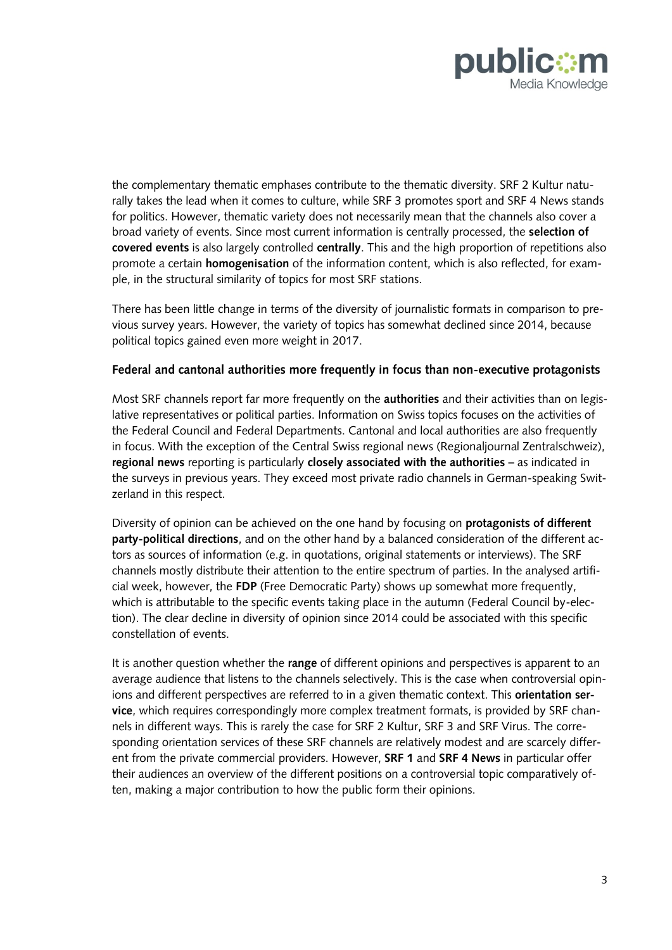

the complementary thematic emphases contribute to the thematic diversity. SRF 2 Kultur naturally takes the lead when it comes to culture, while SRF 3 promotes sport and SRF 4 News stands for politics. However, thematic variety does not necessarily mean that the channels also cover a broad variety of events. Since most current information is centrally processed, the **selection of covered events** is also largely controlled **centrally**. This and the high proportion of repetitions also promote a certain **homogenisation** of the information content, which is also reflected, for example, in the structural similarity of topics for most SRF stations.

There has been little change in terms of the diversity of journalistic formats in comparison to previous survey years. However, the variety of topics has somewhat declined since 2014, because political topics gained even more weight in 2017.

#### **Federal and cantonal authorities more frequently in focus than non-executive protagonists**

Most SRF channels report far more frequently on the **authorities** and their activities than on legislative representatives or political parties. Information on Swiss topics focuses on the activities of the Federal Council and Federal Departments. Cantonal and local authorities are also frequently in focus. With the exception of the Central Swiss regional news (Regionaljournal Zentralschweiz), **regional news** reporting is particularly **closely associated with the authorities** – as indicated in the surveys in previous years. They exceed most private radio channels in German-speaking Switzerland in this respect.

Diversity of opinion can be achieved on the one hand by focusing on **protagonists of different party-political directions**, and on the other hand by a balanced consideration of the different actors as sources of information (e.g. in quotations, original statements or interviews). The SRF channels mostly distribute their attention to the entire spectrum of parties. In the analysed artificial week, however, the **FDP** (Free Democratic Party) shows up somewhat more frequently, which is attributable to the specific events taking place in the autumn (Federal Council by-election). The clear decline in diversity of opinion since 2014 could be associated with this specific constellation of events.

It is another question whether the **range** of different opinions and perspectives is apparent to an average audience that listens to the channels selectively. This is the case when controversial opinions and different perspectives are referred to in a given thematic context. This **orientation service**, which requires correspondingly more complex treatment formats, is provided by SRF channels in different ways. This is rarely the case for SRF 2 Kultur, SRF 3 and SRF Virus. The corresponding orientation services of these SRF channels are relatively modest and are scarcely different from the private commercial providers. However, **SRF 1** and **SRF 4 News** in particular offer their audiences an overview of the different positions on a controversial topic comparatively often, making a major contribution to how the public form their opinions.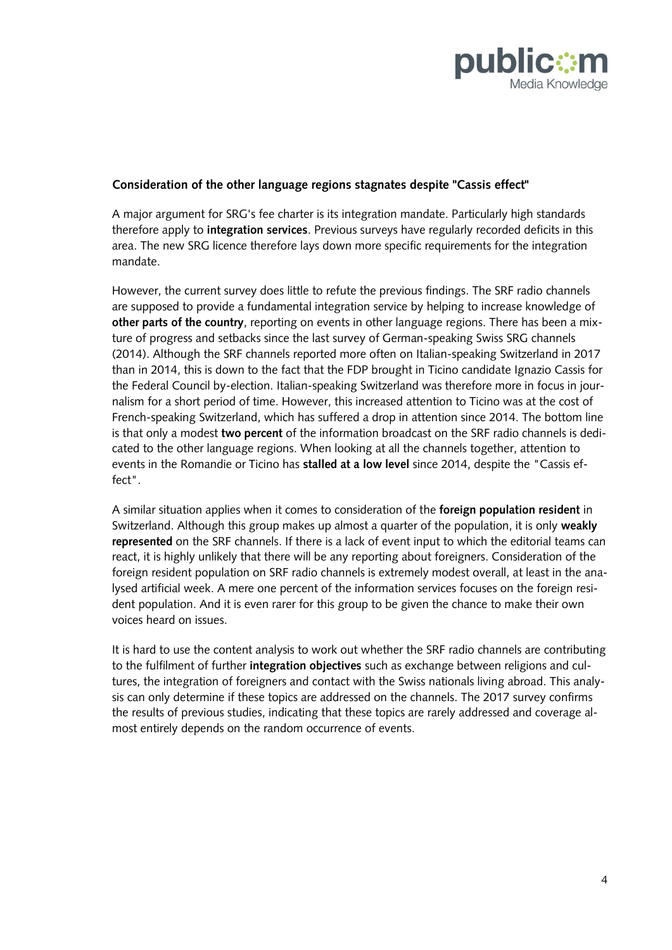

### **Consideration of the other language regions stagnates despite "Cassis effect"**

A major argument for SRG's fee charter is its integration mandate. Particularly high standards therefore apply to **integration services**. Previous surveys have regularly recorded deficits in this area. The new SRG licence therefore lays down more specific requirements for the integration mandate.

However, the current survey does little to refute the previous findings. The SRF radio channels are supposed to provide a fundamental integration service by helping to increase knowledge of **other parts of the country**, reporting on events in other language regions. There has been a mixture of progress and setbacks since the last survey of German-speaking Swiss SRG channels (2014). Although the SRF channels reported more often on Italian-speaking Switzerland in 2017 than in 2014, this is down to the fact that the FDP brought in Ticino candidate Ignazio Cassis for the Federal Council by-election. Italian-speaking Switzerland was therefore more in focus in journalism for a short period of time. However, this increased attention to Ticino was at the cost of French-speaking Switzerland, which has suffered a drop in attention since 2014. The bottom line is that only a modest **two percent** of the information broadcast on the SRF radio channels is dedicated to the other language regions. When looking at all the channels together, attention to events in the Romandie or Ticino has **stalled at a low level** since 2014, despite the "Cassis effect".

A similar situation applies when it comes to consideration of the **foreign population resident** in Switzerland. Although this group makes up almost a quarter of the population, it is only **weakly represented** on the SRF channels. If there is a lack of event input to which the editorial teams can react, it is highly unlikely that there will be any reporting about foreigners. Consideration of the foreign resident population on SRF radio channels is extremely modest overall, at least in the analysed artificial week. A mere one percent of the information services focuses on the foreign resident population. And it is even rarer for this group to be given the chance to make their own voices heard on issues.

It is hard to use the content analysis to work out whether the SRF radio channels are contributing to the fulfilment of further **integration objectives** such as exchange between religions and cultures, the integration of foreigners and contact with the Swiss nationals living abroad. This analysis can only determine if these topics are addressed on the channels. The 2017 survey confirms the results of previous studies, indicating that these topics are rarely addressed and coverage almost entirely depends on the random occurrence of events.